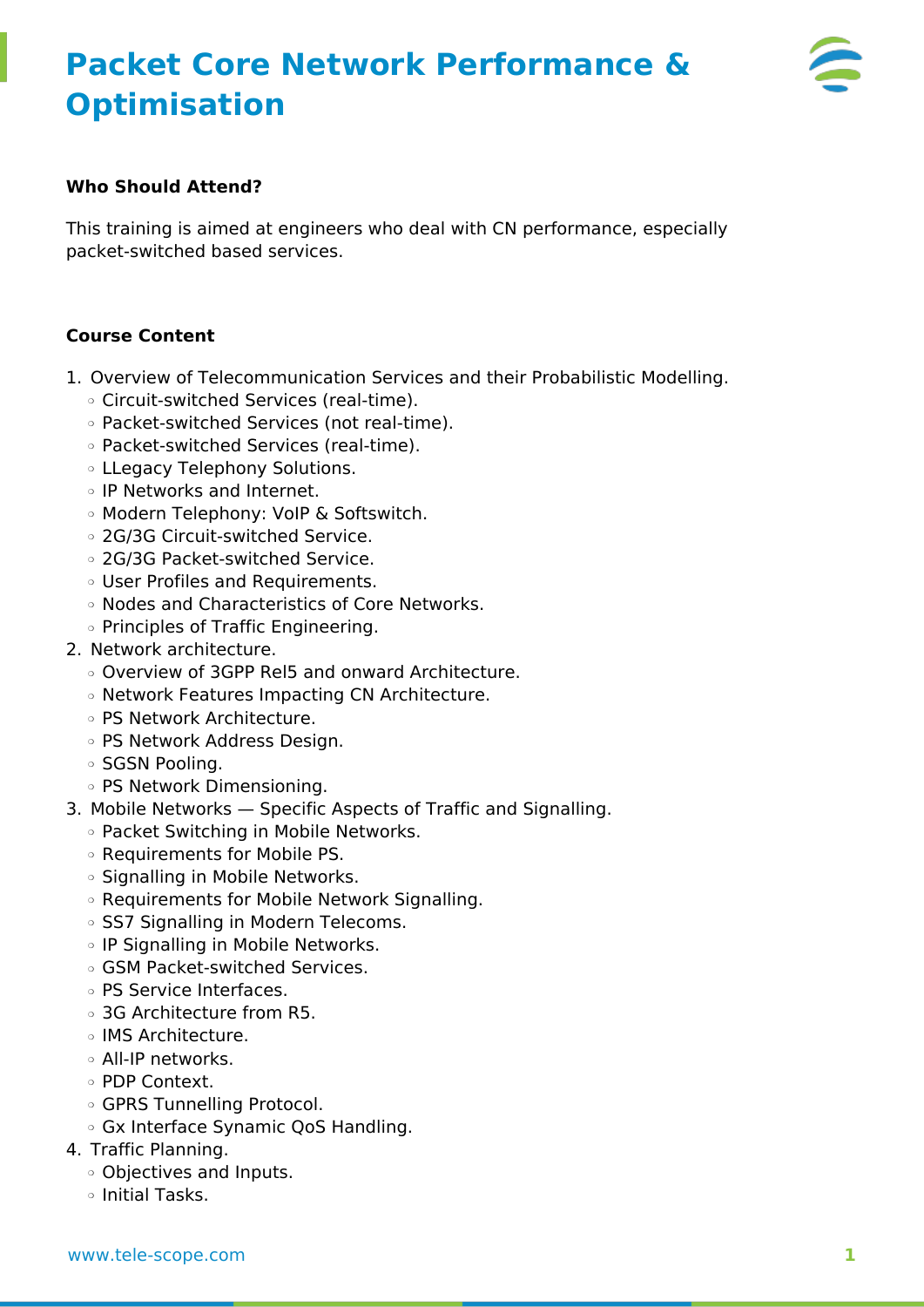# **Packet Core Network Performance & Optimisation**



### **Who Should Attend?**

This training is aimed at engineers who deal with CN performance, especially packet-switched based services.

### **Course Content**

- 1. Overview of Telecommunication Services and their Probabilistic Modelling.
	- ❍ Circuit-switched Services (real-time).
	- ❍ Packet-switched Services (not real-time).
	- ❍ Packet-switched Services (real-time).
	- ❍ LLegacy Telephony Solutions.
	- ❍ IP Networks and Internet.
	- ❍ Modern Telephony: VoIP & Softswitch.
	- ❍ 2G/3G Circuit-switched Service.
	- ❍ 2G/3G Packet-switched Service.
	- ❍ User Profiles and Requirements.
	- ❍ Nodes and Characteristics of Core Networks.
	- ❍ Principles of Traffic Engineering.
- 2. Network architecture.
	- ❍ Overview of 3GPP Rel5 and onward Architecture.
	- ❍ Network Features Impacting CN Architecture.
	- ❍ PS Network Architecture.
	- ❍ PS Network Address Design.
	- ❍ SGSN Pooling.
	- ❍ PS Network Dimensioning.
- 3. Mobile Networks Specific Aspects of Traffic and Signalling.
	- ❍ Packet Switching in Mobile Networks.
	- ❍ Requirements for Mobile PS.
	- ❍ Signalling in Mobile Networks.
	- ❍ Requirements for Mobile Network Signalling.
	- ❍ SS7 Signalling in Modern Telecoms.
	- ❍ IP Signalling in Mobile Networks.
	- ❍ GSM Packet-switched Services.
	- ❍ PS Service Interfaces.
	- ❍ 3G Architecture from R5.
	- ❍ IMS Architecture.
	- ❍ All-IP networks.
	- ❍ PDP Context.
	- ❍ GPRS Tunnelling Protocol.
	- ❍ Gx Interface Synamic QoS Handling.
- 4. Traffic Planning.
	- ❍ Objectives and Inputs.
	- ❍ Initial Tasks.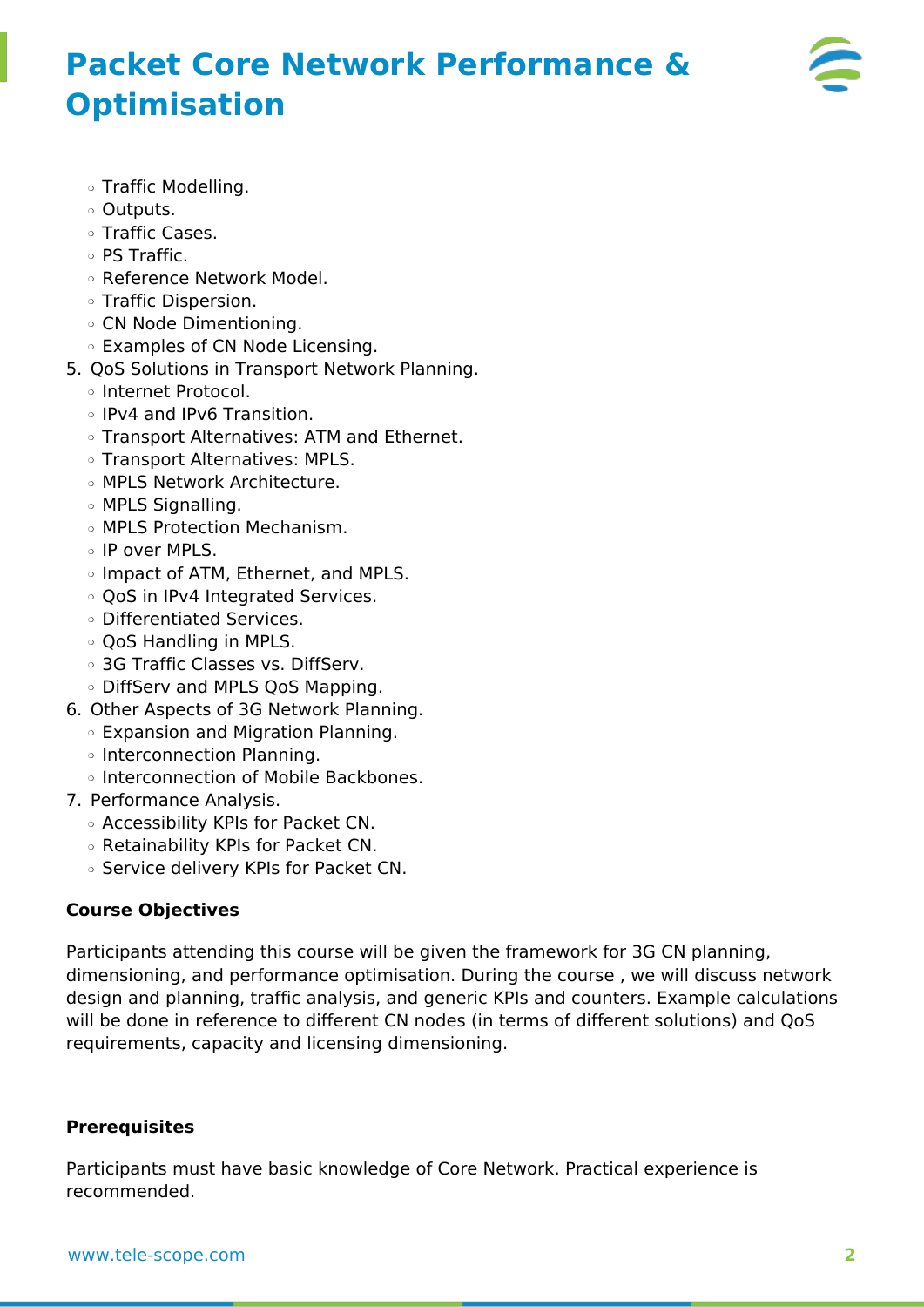

# **Packet Core Network Performance & Optimisation**

- ❍ Traffic Modelling.
- ❍ Outputs.
- ❍ Traffic Cases.
- ❍ PS Traffic.
- ❍ Reference Network Model.
- ❍ Traffic Dispersion.
- ❍ CN Node Dimentioning.
- ❍ Examples of CN Node Licensing.
- 5. QoS Solutions in Transport Network Planning.
	- ❍ Internet Protocol.
	- ❍ IPv4 and IPv6 Transition.
	- ❍ Transport Alternatives: ATM and Ethernet.
	- ❍ Transport Alternatives: MPLS.
	- ❍ MPLS Network Architecture.
	- ❍ MPLS Signalling.
	- ❍ MPLS Protection Mechanism.
	- ❍ IP over MPLS.
	- ❍ Impact of ATM, Ethernet, and MPLS.
	- ❍ QoS in IPv4 Integrated Services.
	- ❍ Differentiated Services.
	- ❍ QoS Handling in MPLS.
	- ❍ 3G Traffic Classes vs. DiffServ.
	- ❍ DiffServ and MPLS QoS Mapping.
- 6. Other Aspects of 3G Network Planning.
	- ❍ Expansion and Migration Planning.
	- ❍ Interconnection Planning.
	- ❍ Interconnection of Mobile Backbones.
- 7. Performance Analysis.
	- ❍ Accessibility KPIs for Packet CN.
	- ❍ Retainability KPIs for Packet CN.
	- ❍ Service delivery KPIs for Packet CN.

### **Course Objectives**

Participants attending this course will be given the framework for 3G CN planning, dimensioning, and performance optimisation. During the course , we will discuss network design and planning, traffic analysis, and generic KPIs and counters. Example calculations will be done in reference to different CN nodes (in terms of different solutions) and QoS requirements, capacity and licensing dimensioning.

#### **Prerequisites**

Participants must have basic knowledge of Core Network. Practical experience is recommended.